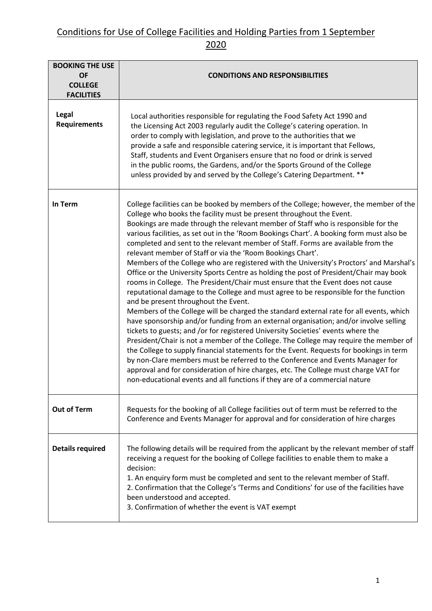| <b>BOOKING THE USE</b><br><b>OF</b><br><b>COLLEGE</b><br><b>FACILITIES</b> | <b>CONDITIONS AND RESPONSIBILITIES</b>                                                                                                                                                                                                                                                                                                                                                                                                                                                                                                                                                                                                                                                                                                                                                                                                                                                                                                                                                                                                                                                                                                                                                                                                                                                                                                                                                                                                                                                                                                                                                                                         |
|----------------------------------------------------------------------------|--------------------------------------------------------------------------------------------------------------------------------------------------------------------------------------------------------------------------------------------------------------------------------------------------------------------------------------------------------------------------------------------------------------------------------------------------------------------------------------------------------------------------------------------------------------------------------------------------------------------------------------------------------------------------------------------------------------------------------------------------------------------------------------------------------------------------------------------------------------------------------------------------------------------------------------------------------------------------------------------------------------------------------------------------------------------------------------------------------------------------------------------------------------------------------------------------------------------------------------------------------------------------------------------------------------------------------------------------------------------------------------------------------------------------------------------------------------------------------------------------------------------------------------------------------------------------------------------------------------------------------|
| Legal<br><b>Requirements</b>                                               | Local authorities responsible for regulating the Food Safety Act 1990 and<br>the Licensing Act 2003 regularly audit the College's catering operation. In<br>order to comply with legislation, and prove to the authorities that we<br>provide a safe and responsible catering service, it is important that Fellows,<br>Staff, students and Event Organisers ensure that no food or drink is served<br>in the public rooms, the Gardens, and/or the Sports Ground of the College<br>unless provided by and served by the College's Catering Department. **                                                                                                                                                                                                                                                                                                                                                                                                                                                                                                                                                                                                                                                                                                                                                                                                                                                                                                                                                                                                                                                                     |
| In Term                                                                    | College facilities can be booked by members of the College; however, the member of the<br>College who books the facility must be present throughout the Event.<br>Bookings are made through the relevant member of Staff who is responsible for the<br>various facilities, as set out in the 'Room Bookings Chart'. A booking form must also be<br>completed and sent to the relevant member of Staff. Forms are available from the<br>relevant member of Staff or via the 'Room Bookings Chart'.<br>Members of the College who are registered with the University's Proctors' and Marshal's<br>Office or the University Sports Centre as holding the post of President/Chair may book<br>rooms in College. The President/Chair must ensure that the Event does not cause<br>reputational damage to the College and must agree to be responsible for the function<br>and be present throughout the Event.<br>Members of the College will be charged the standard external rate for all events, which<br>have sponsorship and/or funding from an external organisation; and/or involve selling<br>tickets to guests; and /or for registered University Societies' events where the<br>President/Chair is not a member of the College. The College may require the member of<br>the College to supply financial statements for the Event. Requests for bookings in term<br>by non-Clare members must be referred to the Conference and Events Manager for<br>approval and for consideration of hire charges, etc. The College must charge VAT for<br>non-educational events and all functions if they are of a commercial nature |
| <b>Out of Term</b>                                                         | Requests for the booking of all College facilities out of term must be referred to the<br>Conference and Events Manager for approval and for consideration of hire charges                                                                                                                                                                                                                                                                                                                                                                                                                                                                                                                                                                                                                                                                                                                                                                                                                                                                                                                                                                                                                                                                                                                                                                                                                                                                                                                                                                                                                                                     |
| <b>Details required</b>                                                    | The following details will be required from the applicant by the relevant member of staff<br>receiving a request for the booking of College facilities to enable them to make a<br>decision:<br>1. An enquiry form must be completed and sent to the relevant member of Staff.<br>2. Confirmation that the College's 'Terms and Conditions' for use of the facilities have<br>been understood and accepted.<br>3. Confirmation of whether the event is VAT exempt                                                                                                                                                                                                                                                                                                                                                                                                                                                                                                                                                                                                                                                                                                                                                                                                                                                                                                                                                                                                                                                                                                                                                              |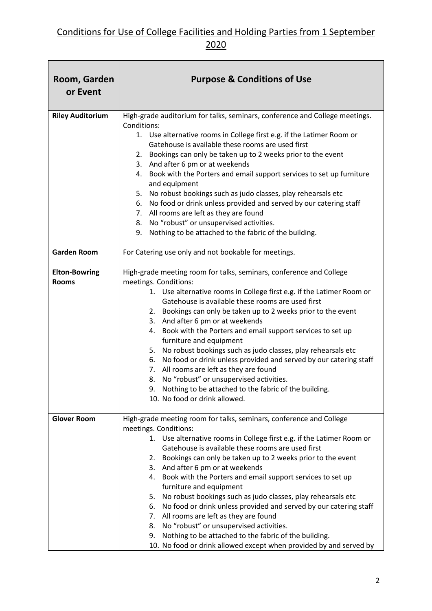| Room, Garden<br>or Event             | <b>Purpose &amp; Conditions of Use</b>                                                                                                                                                                                                                                                                                                                                                                                                                                                                                                                                                                                                                                                                                                                                                                                  |
|--------------------------------------|-------------------------------------------------------------------------------------------------------------------------------------------------------------------------------------------------------------------------------------------------------------------------------------------------------------------------------------------------------------------------------------------------------------------------------------------------------------------------------------------------------------------------------------------------------------------------------------------------------------------------------------------------------------------------------------------------------------------------------------------------------------------------------------------------------------------------|
| <b>Riley Auditorium</b>              | High-grade auditorium for talks, seminars, conference and College meetings.<br>Conditions:<br>1. Use alternative rooms in College first e.g. if the Latimer Room or<br>Gatehouse is available these rooms are used first<br>Bookings can only be taken up to 2 weeks prior to the event<br>2.<br>3. And after 6 pm or at weekends<br>4. Book with the Porters and email support services to set up furniture<br>and equipment<br>No robust bookings such as judo classes, play rehearsals etc<br>5.<br>6. No food or drink unless provided and served by our catering staff<br>7. All rooms are left as they are found<br>8. No "robust" or unsupervised activities.<br>Nothing to be attached to the fabric of the building.<br>9.                                                                                     |
| <b>Garden Room</b>                   | For Catering use only and not bookable for meetings.                                                                                                                                                                                                                                                                                                                                                                                                                                                                                                                                                                                                                                                                                                                                                                    |
| <b>Elton-Bowring</b><br><b>Rooms</b> | High-grade meeting room for talks, seminars, conference and College<br>meetings. Conditions:<br>1. Use alternative rooms in College first e.g. if the Latimer Room or<br>Gatehouse is available these rooms are used first<br>Bookings can only be taken up to 2 weeks prior to the event<br>2.<br>3. And after 6 pm or at weekends<br>Book with the Porters and email support services to set up<br>4.<br>furniture and equipment<br>No robust bookings such as judo classes, play rehearsals etc<br>5.<br>6. No food or drink unless provided and served by our catering staff<br>7. All rooms are left as they are found<br>8. No "robust" or unsupervised activities.<br>9. Nothing to be attached to the fabric of the building.<br>10. No food or drink allowed.                                                  |
| <b>Glover Room</b>                   | High-grade meeting room for talks, seminars, conference and College<br>meetings. Conditions:<br>1. Use alternative rooms in College first e.g. if the Latimer Room or<br>Gatehouse is available these rooms are used first<br>Bookings can only be taken up to 2 weeks prior to the event<br>2.<br>And after 6 pm or at weekends<br>3.<br>Book with the Porters and email support services to set up<br>4.<br>furniture and equipment<br>No robust bookings such as judo classes, play rehearsals etc<br>5.<br>No food or drink unless provided and served by our catering staff<br>6.<br>7. All rooms are left as they are found<br>No "robust" or unsupervised activities.<br>8.<br>Nothing to be attached to the fabric of the building.<br>9.<br>10. No food or drink allowed except when provided by and served by |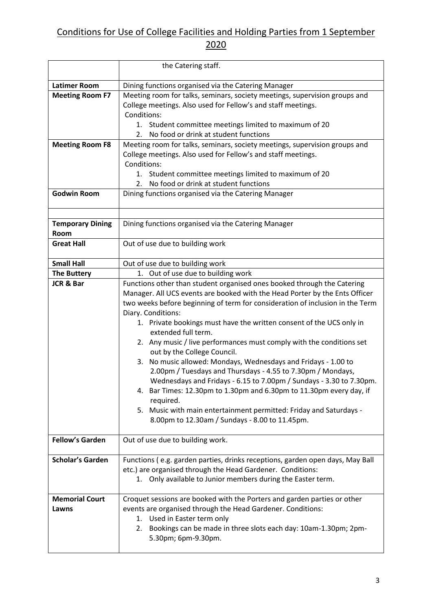|                         | the Catering staff.                                                                                                              |
|-------------------------|----------------------------------------------------------------------------------------------------------------------------------|
| <b>Latimer Room</b>     | Dining functions organised via the Catering Manager                                                                              |
| <b>Meeting Room F7</b>  | Meeting room for talks, seminars, society meetings, supervision groups and                                                       |
|                         | College meetings. Also used for Fellow's and staff meetings.                                                                     |
|                         | Conditions:                                                                                                                      |
|                         | Student committee meetings limited to maximum of 20<br>1.                                                                        |
|                         | No food or drink at student functions<br>2.                                                                                      |
| <b>Meeting Room F8</b>  | Meeting room for talks, seminars, society meetings, supervision groups and                                                       |
|                         | College meetings. Also used for Fellow's and staff meetings.                                                                     |
|                         | Conditions:                                                                                                                      |
|                         | Student committee meetings limited to maximum of 20<br>1.                                                                        |
|                         | No food or drink at student functions<br>2.                                                                                      |
| <b>Godwin Room</b>      | Dining functions organised via the Catering Manager                                                                              |
|                         |                                                                                                                                  |
| <b>Temporary Dining</b> | Dining functions organised via the Catering Manager                                                                              |
| Room                    |                                                                                                                                  |
| <b>Great Hall</b>       | Out of use due to building work                                                                                                  |
|                         |                                                                                                                                  |
| <b>Small Hall</b>       | Out of use due to building work                                                                                                  |
| <b>The Buttery</b>      | 1. Out of use due to building work                                                                                               |
| <b>JCR &amp; Bar</b>    | Functions other than student organised ones booked through the Catering                                                          |
|                         | Manager. All UCS events are booked with the Head Porter by the Ents Officer                                                      |
|                         | two weeks before beginning of term for consideration of inclusion in the Term                                                    |
|                         | Diary. Conditions:                                                                                                               |
|                         | 1. Private bookings must have the written consent of the UCS only in                                                             |
|                         | extended full term.                                                                                                              |
|                         | 2. Any music / live performances must comply with the conditions set                                                             |
|                         | out by the College Council.                                                                                                      |
|                         | No music allowed: Mondays, Wednesdays and Fridays - 1.00 to<br>3.<br>2.00pm / Tuesdays and Thursdays - 4.55 to 7.30pm / Mondays, |
|                         | Wednesdays and Fridays - 6.15 to 7.00pm / Sundays - 3.30 to 7.30pm.                                                              |
|                         | 4. Bar Times: 12.30pm to 1.30pm and 6.30pm to 11.30pm every day, if                                                              |
|                         | required.                                                                                                                        |
|                         | 5. Music with main entertainment permitted: Friday and Saturdays -                                                               |
|                         | 8.00pm to 12.30am / Sundays - 8.00 to 11.45pm.                                                                                   |
|                         |                                                                                                                                  |
| <b>Fellow's Garden</b>  | Out of use due to building work.                                                                                                 |
| <b>Scholar's Garden</b> | Functions (e.g. garden parties, drinks receptions, garden open days, May Ball                                                    |
|                         | etc.) are organised through the Head Gardener. Conditions:                                                                       |
|                         | 1. Only available to Junior members during the Easter term.                                                                      |
|                         |                                                                                                                                  |
| <b>Memorial Court</b>   | Croquet sessions are booked with the Porters and garden parties or other                                                         |
| Lawns                   | events are organised through the Head Gardener. Conditions:                                                                      |
|                         | Used in Easter term only<br>1.                                                                                                   |
|                         | Bookings can be made in three slots each day: 10am-1.30pm; 2pm-<br>2.                                                            |
|                         | 5.30pm; 6pm-9.30pm.                                                                                                              |
|                         |                                                                                                                                  |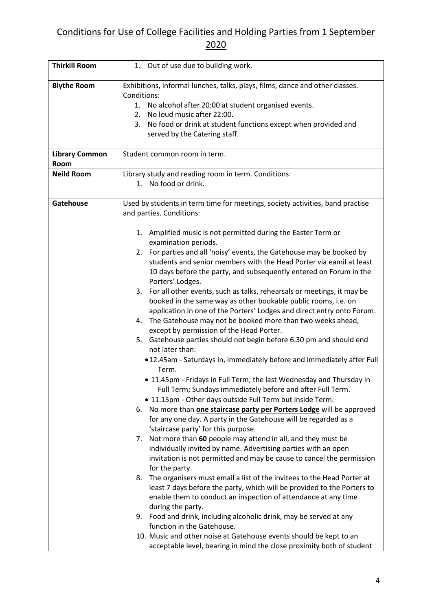| <b>Thirkill Room</b>          | 1. Out of use due to building work.                                                                                                                                                                                                                                                                                                                                                                                                                                                                                                                                                                                                                                                                                                                                                                                                                                                                                                                                                                                                                                                                                                                                                                                                                                                                                                                                                                                                                                                                                                                                                                                                                                                                                                                                                                                                                                                                                                                     |
|-------------------------------|---------------------------------------------------------------------------------------------------------------------------------------------------------------------------------------------------------------------------------------------------------------------------------------------------------------------------------------------------------------------------------------------------------------------------------------------------------------------------------------------------------------------------------------------------------------------------------------------------------------------------------------------------------------------------------------------------------------------------------------------------------------------------------------------------------------------------------------------------------------------------------------------------------------------------------------------------------------------------------------------------------------------------------------------------------------------------------------------------------------------------------------------------------------------------------------------------------------------------------------------------------------------------------------------------------------------------------------------------------------------------------------------------------------------------------------------------------------------------------------------------------------------------------------------------------------------------------------------------------------------------------------------------------------------------------------------------------------------------------------------------------------------------------------------------------------------------------------------------------------------------------------------------------------------------------------------------------|
| <b>Blythe Room</b>            | Exhibitions, informal lunches, talks, plays, films, dance and other classes.<br>Conditions:<br>1. No alcohol after 20:00 at student organised events.<br>No loud music after 22:00.<br>2.<br>3.<br>No food or drink at student functions except when provided and<br>served by the Catering staff.                                                                                                                                                                                                                                                                                                                                                                                                                                                                                                                                                                                                                                                                                                                                                                                                                                                                                                                                                                                                                                                                                                                                                                                                                                                                                                                                                                                                                                                                                                                                                                                                                                                      |
| <b>Library Common</b><br>Room | Student common room in term.                                                                                                                                                                                                                                                                                                                                                                                                                                                                                                                                                                                                                                                                                                                                                                                                                                                                                                                                                                                                                                                                                                                                                                                                                                                                                                                                                                                                                                                                                                                                                                                                                                                                                                                                                                                                                                                                                                                            |
| <b>Neild Room</b>             | Library study and reading room in term. Conditions:<br>No food or drink.<br>1.                                                                                                                                                                                                                                                                                                                                                                                                                                                                                                                                                                                                                                                                                                                                                                                                                                                                                                                                                                                                                                                                                                                                                                                                                                                                                                                                                                                                                                                                                                                                                                                                                                                                                                                                                                                                                                                                          |
| Gatehouse                     | Used by students in term time for meetings, society activities, band practise<br>and parties. Conditions:<br>1. Amplified music is not permitted during the Easter Term or<br>examination periods.<br>For parties and all 'noisy' events, the Gatehouse may be booked by<br>2.<br>students and senior members with the Head Porter via eamil at least<br>10 days before the party, and subsequently entered on Forum in the<br>Porters' Lodges.<br>For all other events, such as talks, rehearsals or meetings, it may be<br>3.<br>booked in the same way as other bookable public rooms, i.e. on<br>application in one of the Porters' Lodges and direct entry onto Forum.<br>4. The Gatehouse may not be booked more than two weeks ahead,<br>except by permission of the Head Porter.<br>Gatehouse parties should not begin before 6.30 pm and should end<br>5.<br>not later than:<br>.12.45am - Saturdays in, immediately before and immediately after Full<br>Term.<br>• 11.45pm - Fridays in Full Term; the last Wednesday and Thursday in<br>Full Term; Sundays immediately before and after Full Term.<br>. 11.15pm - Other days outside Full Term but inside Term.<br>6. No more than one staircase party per Porters Lodge will be approved<br>for any one day. A party in the Gatehouse will be regarded as a<br>'staircase party' for this purpose.<br>Not more than 60 people may attend in all, and they must be<br>7.<br>individually invited by name. Advertising parties with an open<br>invitation is not permitted and may be cause to cancel the permission<br>for the party.<br>The organisers must email a list of the invitees to the Head Porter at<br>8.<br>least 7 days before the party, which will be provided to the Porters to<br>enable them to conduct an inspection of attendance at any time<br>during the party.<br>9. Food and drink, including alcoholic drink, may be served at any<br>function in the Gatehouse. |
|                               | 10. Music and other noise at Gatehouse events should be kept to an<br>acceptable level, bearing in mind the close proximity both of student                                                                                                                                                                                                                                                                                                                                                                                                                                                                                                                                                                                                                                                                                                                                                                                                                                                                                                                                                                                                                                                                                                                                                                                                                                                                                                                                                                                                                                                                                                                                                                                                                                                                                                                                                                                                             |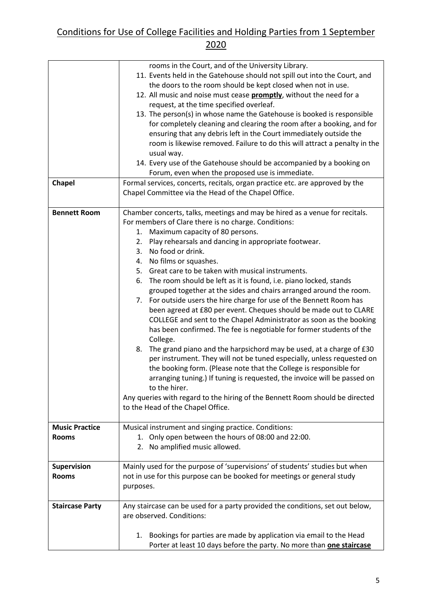|                                       | rooms in the Court, and of the University Library.<br>11. Events held in the Gatehouse should not spill out into the Court, and<br>the doors to the room should be kept closed when not in use.<br>12. All music and noise must cease <b>promptly</b> , without the need for a<br>request, at the time specified overleaf.<br>13. The person(s) in whose name the Gatehouse is booked is responsible<br>for completely cleaning and clearing the room after a booking, and for<br>ensuring that any debris left in the Court immediately outside the<br>room is likewise removed. Failure to do this will attract a penalty in the<br>usual way.<br>14. Every use of the Gatehouse should be accompanied by a booking on<br>Forum, even when the proposed use is immediate.                                                                                                                                                                                                                                                                                                                                                                                                                                                                                      |
|---------------------------------------|------------------------------------------------------------------------------------------------------------------------------------------------------------------------------------------------------------------------------------------------------------------------------------------------------------------------------------------------------------------------------------------------------------------------------------------------------------------------------------------------------------------------------------------------------------------------------------------------------------------------------------------------------------------------------------------------------------------------------------------------------------------------------------------------------------------------------------------------------------------------------------------------------------------------------------------------------------------------------------------------------------------------------------------------------------------------------------------------------------------------------------------------------------------------------------------------------------------------------------------------------------------|
| <b>Chapel</b>                         | Formal services, concerts, recitals, organ practice etc. are approved by the<br>Chapel Committee via the Head of the Chapel Office.                                                                                                                                                                                                                                                                                                                                                                                                                                                                                                                                                                                                                                                                                                                                                                                                                                                                                                                                                                                                                                                                                                                              |
| <b>Bennett Room</b>                   | Chamber concerts, talks, meetings and may be hired as a venue for recitals.<br>For members of Clare there is no charge. Conditions:<br>1. Maximum capacity of 80 persons.<br>Play rehearsals and dancing in appropriate footwear.<br>2.<br>No food or drink.<br>3.<br>No films or squashes.<br>4.<br>5. Great care to be taken with musical instruments.<br>The room should be left as it is found, i.e. piano locked, stands<br>6.<br>grouped together at the sides and chairs arranged around the room.<br>7. For outside users the hire charge for use of the Bennett Room has<br>been agreed at £80 per event. Cheques should be made out to CLARE<br>COLLEGE and sent to the Chapel Administrator as soon as the booking<br>has been confirmed. The fee is negotiable for former students of the<br>College.<br>The grand piano and the harpsichord may be used, at a charge of £30<br>8.<br>per instrument. They will not be tuned especially, unless requested on<br>the booking form. (Please note that the College is responsible for<br>arranging tuning.) If tuning is requested, the invoice will be passed on<br>to the hirer.<br>Any queries with regard to the hiring of the Bennett Room should be directed<br>to the Head of the Chapel Office. |
| <b>Music Practice</b><br><b>Rooms</b> | Musical instrument and singing practice. Conditions:<br>1. Only open between the hours of 08:00 and 22:00.<br>2. No amplified music allowed.                                                                                                                                                                                                                                                                                                                                                                                                                                                                                                                                                                                                                                                                                                                                                                                                                                                                                                                                                                                                                                                                                                                     |
| <b>Supervision</b><br><b>Rooms</b>    | Mainly used for the purpose of 'supervisions' of students' studies but when<br>not in use for this purpose can be booked for meetings or general study<br>purposes.                                                                                                                                                                                                                                                                                                                                                                                                                                                                                                                                                                                                                                                                                                                                                                                                                                                                                                                                                                                                                                                                                              |
| <b>Staircase Party</b>                | Any staircase can be used for a party provided the conditions, set out below,<br>are observed. Conditions:<br>Bookings for parties are made by application via email to the Head<br>1.<br>Porter at least 10 days before the party. No more than <b>one staircase</b>                                                                                                                                                                                                                                                                                                                                                                                                                                                                                                                                                                                                                                                                                                                                                                                                                                                                                                                                                                                            |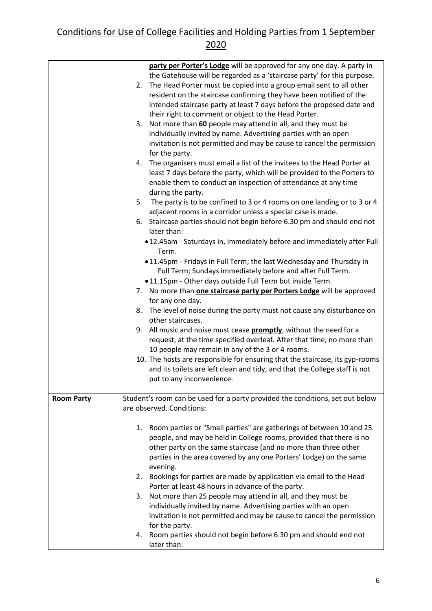|                   | party per Porter's Lodge will be approved for any one day. A party in<br>the Gatehouse will be regarded as a 'staircase party' for this purpose.<br>2. The Head Porter must be copied into a group email sent to all other<br>resident on the staircase confirming they have been notified of the<br>intended staircase party at least 7 days before the proposed date and<br>their right to comment or object to the Head Porter.<br>Not more than 60 people may attend in all, and they must be<br>3.<br>individually invited by name. Advertising parties with an open<br>invitation is not permitted and may be cause to cancel the permission<br>for the party.<br>4. The organisers must email a list of the invitees to the Head Porter at<br>least 7 days before the party, which will be provided to the Porters to<br>enable them to conduct an inspection of attendance at any time<br>during the party.<br>The party is to be confined to 3 or 4 rooms on one landing or to 3 or 4<br>5.<br>adjacent rooms in a corridor unless a special case is made.<br>6. Staircase parties should not begin before 6.30 pm and should end not<br>later than:<br>.12.45am - Saturdays in, immediately before and immediately after Full<br>Term.<br>.11.45pm - Fridays in Full Term; the last Wednesday and Thursday in<br>Full Term; Sundays immediately before and after Full Term.<br>.11.15pm - Other days outside Full Term but inside Term.<br>7. No more than one staircase party per Porters Lodge will be approved<br>for any one day.<br>8. The level of noise during the party must not cause any disturbance on<br>other staircases.<br>9. All music and noise must cease promptly, without the need for a<br>request, at the time specified overleaf. After that time, no more than<br>10 people may remain in any of the 3 or 4 rooms.<br>10. The hosts are responsible for ensuring that the staircase, its gyp-rooms |
|-------------------|--------------------------------------------------------------------------------------------------------------------------------------------------------------------------------------------------------------------------------------------------------------------------------------------------------------------------------------------------------------------------------------------------------------------------------------------------------------------------------------------------------------------------------------------------------------------------------------------------------------------------------------------------------------------------------------------------------------------------------------------------------------------------------------------------------------------------------------------------------------------------------------------------------------------------------------------------------------------------------------------------------------------------------------------------------------------------------------------------------------------------------------------------------------------------------------------------------------------------------------------------------------------------------------------------------------------------------------------------------------------------------------------------------------------------------------------------------------------------------------------------------------------------------------------------------------------------------------------------------------------------------------------------------------------------------------------------------------------------------------------------------------------------------------------------------------------------------------------------------------------------------------------------------------------------------------|
|                   | and its toilets are left clean and tidy, and that the College staff is not<br>put to any inconvenience.                                                                                                                                                                                                                                                                                                                                                                                                                                                                                                                                                                                                                                                                                                                                                                                                                                                                                                                                                                                                                                                                                                                                                                                                                                                                                                                                                                                                                                                                                                                                                                                                                                                                                                                                                                                                                              |
| <b>Room Party</b> | Student's room can be used for a party provided the conditions, set out below<br>are observed. Conditions:                                                                                                                                                                                                                                                                                                                                                                                                                                                                                                                                                                                                                                                                                                                                                                                                                                                                                                                                                                                                                                                                                                                                                                                                                                                                                                                                                                                                                                                                                                                                                                                                                                                                                                                                                                                                                           |
|                   | 1. Room parties or "Small parties" are gatherings of between 10 and 25<br>people, and may be held in College rooms, provided that there is no<br>other party on the same staircase (and no more than three other<br>parties in the area covered by any one Porters' Lodge) on the same<br>evening.<br>2. Bookings for parties are made by application via email to the Head                                                                                                                                                                                                                                                                                                                                                                                                                                                                                                                                                                                                                                                                                                                                                                                                                                                                                                                                                                                                                                                                                                                                                                                                                                                                                                                                                                                                                                                                                                                                                          |
|                   | Porter at least 48 hours in advance of the party.<br>Not more than 25 people may attend in all, and they must be<br>3.<br>individually invited by name. Advertising parties with an open<br>invitation is not permitted and may be cause to cancel the permission<br>for the party.                                                                                                                                                                                                                                                                                                                                                                                                                                                                                                                                                                                                                                                                                                                                                                                                                                                                                                                                                                                                                                                                                                                                                                                                                                                                                                                                                                                                                                                                                                                                                                                                                                                  |
|                   | 4. Room parties should not begin before 6.30 pm and should end not<br>later than:                                                                                                                                                                                                                                                                                                                                                                                                                                                                                                                                                                                                                                                                                                                                                                                                                                                                                                                                                                                                                                                                                                                                                                                                                                                                                                                                                                                                                                                                                                                                                                                                                                                                                                                                                                                                                                                    |